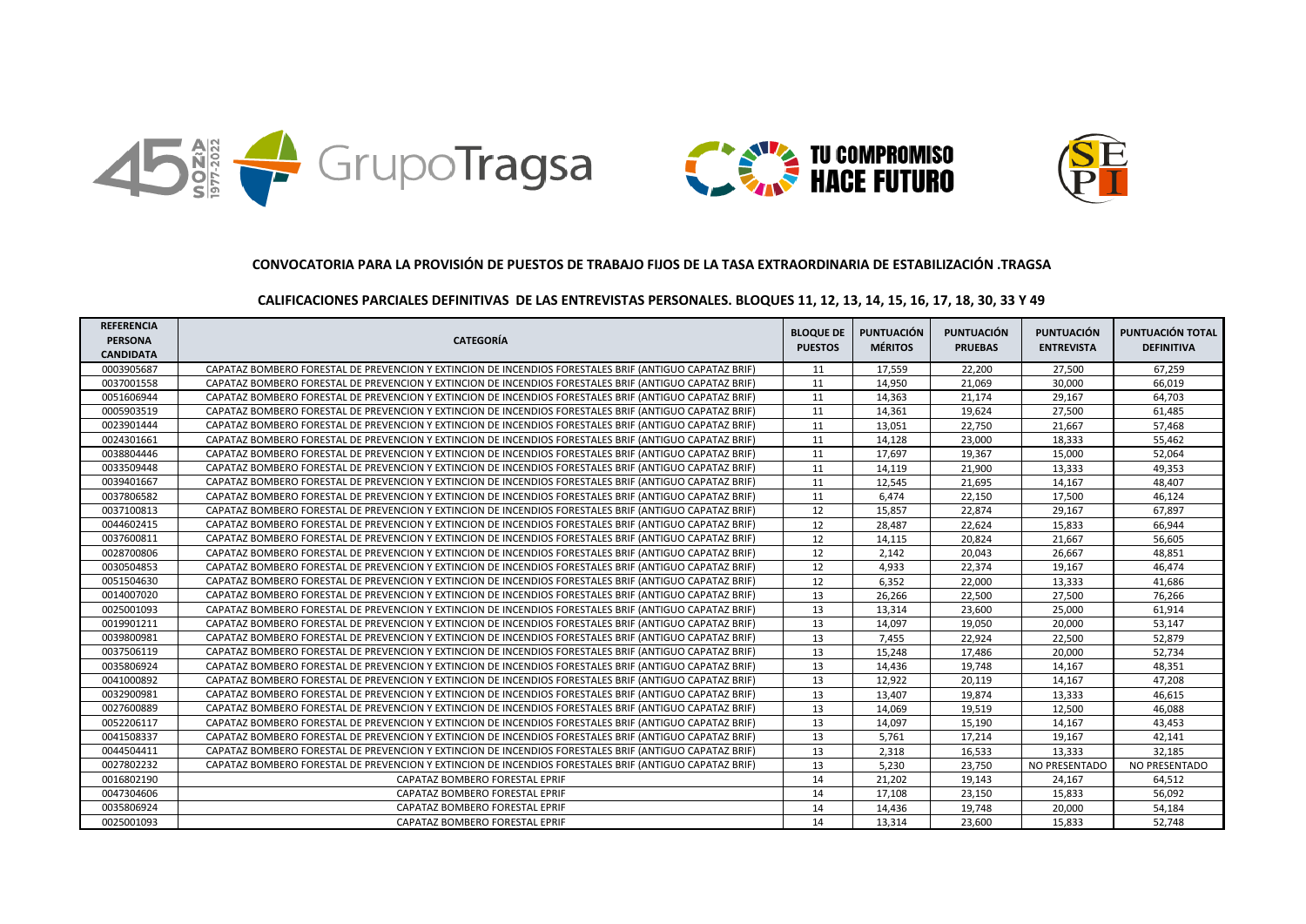





## **CALIFICACIONES PARCIALES DEFINITIVAS DE LAS ENTREVISTAS PERSONALES. BLOQUES 11, 12, 13, 14, 15, 16, 17, 18, 30, 33 Y 49**

| <b>REFERENCIA</b><br><b>PERSONA</b><br><b>CANDIDATA</b> | <b>CATEGORÍA</b>                                                                                       | <b>BLOQUE DE</b><br><b>PUESTOS</b> | PUNTUACIÓN<br><b>MÉRITOS</b> | <b>PUNTUACIÓN</b><br><b>PRUEBAS</b> | <b>PUNTUACIÓN</b><br><b>ENTREVISTA</b> | PUNTUACIÓN TOTAL<br><b>DEFINITIVA</b> |
|---------------------------------------------------------|--------------------------------------------------------------------------------------------------------|------------------------------------|------------------------------|-------------------------------------|----------------------------------------|---------------------------------------|
| 0003905687                                              | CAPATAZ BOMBERO FORESTAL DE PREVENCION Y EXTINCION DE INCENDIOS FORESTALES BRIF (ANTIGUO CAPATAZ BRIF) | 11                                 | 17.559                       | 22.200                              | 27.500                                 | 67.259                                |
| 0037001558                                              | CAPATAZ BOMBERO FORESTAL DE PREVENCION Y EXTINCION DE INCENDIOS FORESTALES BRIF (ANTIGUO CAPATAZ BRIF) | 11                                 | 14,950                       | 21,069                              | 30,000                                 | 66,019                                |
| 0051606944                                              | CAPATAZ BOMBERO FORESTAL DE PREVENCION Y EXTINCION DE INCENDIOS FORESTALES BRIF (ANTIGUO CAPATAZ BRIF) | 11                                 | 14,363                       | 21,174                              | 29,167                                 | 64,703                                |
| 0005903519                                              | CAPATAZ BOMBERO FORESTAL DE PREVENCION Y EXTINCION DE INCENDIOS FORESTALES BRIF (ANTIGUO CAPATAZ BRIF) | 11                                 | 14,361                       | 19,624                              | 27,500                                 | 61,485                                |
| 0023901444                                              | CAPATAZ BOMBERO FORESTAL DE PREVENCION Y EXTINCION DE INCENDIOS FORESTALES BRIF (ANTIGUO CAPATAZ BRIF) | 11                                 | 13,051                       | 22,750                              | 21,667                                 | 57,468                                |
| 0024301661                                              | CAPATAZ BOMBERO FORESTAL DE PREVENCION Y EXTINCION DE INCENDIOS FORESTALES BRIF (ANTIGUO CAPATAZ BRIF) | 11                                 | 14,128                       | 23,000                              | 18,333                                 | 55,462                                |
| 0038804446                                              | CAPATAZ BOMBERO FORESTAL DE PREVENCION Y EXTINCION DE INCENDIOS FORESTALES BRIF (ANTIGUO CAPATAZ BRIF) | 11                                 | 17.697                       | 19,367                              | 15,000                                 | 52,064                                |
| 0033509448                                              | CAPATAZ BOMBERO FORESTAL DE PREVENCION Y EXTINCION DE INCENDIOS FORESTALES BRIF (ANTIGUO CAPATAZ BRIF) | 11                                 | 14.119                       | 21,900                              | 13,333                                 | 49.353                                |
| 0039401667                                              | CAPATAZ BOMBERO FORESTAL DE PREVENCION Y EXTINCION DE INCENDIOS FORESTALES BRIF (ANTIGUO CAPATAZ BRIF) | 11                                 | 12,545                       | 21,695                              | 14,167                                 | 48,407                                |
| 0037806582                                              | CAPATAZ BOMBERO FORESTAL DE PREVENCION Y EXTINCION DE INCENDIOS FORESTALES BRIF (ANTIGUO CAPATAZ BRIF) | 11                                 | 6.474                        | 22,150                              | 17,500                                 | 46.124                                |
| 0037100813                                              | CAPATAZ BOMBERO FORESTAL DE PREVENCION Y EXTINCION DE INCENDIOS FORESTALES BRIF (ANTIGUO CAPATAZ BRIF) | 12                                 | 15,857                       | 22,874                              | 29,167                                 | 67,897                                |
| 0044602415                                              | CAPATAZ BOMBERO FORESTAL DE PREVENCION Y EXTINCION DE INCENDIOS FORESTALES BRIF (ANTIGUO CAPATAZ BRIF) | 12                                 | 28,487                       | 22,624                              | 15,833                                 | 66,944                                |
| 0037600811                                              | CAPATAZ BOMBERO FORESTAL DE PREVENCION Y EXTINCION DE INCENDIOS FORESTALES BRIF (ANTIGUO CAPATAZ BRIF) | 12                                 | 14,115                       | 20,824                              | 21,667                                 | 56,605                                |
| 0028700806                                              | CAPATAZ BOMBERO FORESTAL DE PREVENCION Y EXTINCION DE INCENDIOS FORESTALES BRIF (ANTIGUO CAPATAZ BRIF) | 12                                 | 2,142                        | 20,043                              | 26,667                                 | 48,851                                |
| 0030504853                                              | CAPATAZ BOMBERO FORESTAL DE PREVENCION Y EXTINCION DE INCENDIOS FORESTALES BRIF (ANTIGUO CAPATAZ BRIF) | 12                                 | 4,933                        | 22,374                              | 19,167                                 | 46,474                                |
| 0051504630                                              | CAPATAZ BOMBERO FORESTAL DE PREVENCION Y EXTINCION DE INCENDIOS FORESTALES BRIF (ANTIGUO CAPATAZ BRIF) | 12                                 | 6,352                        | 22,000                              | 13,333                                 | 41,686                                |
| 0014007020                                              | CAPATAZ BOMBERO FORESTAL DE PREVENCION Y EXTINCION DE INCENDIOS FORESTALES BRIF (ANTIGUO CAPATAZ BRIF) | 13                                 | 26,266                       | 22,500                              | 27,500                                 | 76,266                                |
| 0025001093                                              | CAPATAZ BOMBERO FORESTAL DE PREVENCION Y EXTINCION DE INCENDIOS FORESTALES BRIF (ANTIGUO CAPATAZ BRIF) | 13                                 | 13,314                       | 23,600                              | 25,000                                 | 61,914                                |
| 0019901211                                              | CAPATAZ BOMBERO FORESTAL DE PREVENCION Y EXTINCION DE INCENDIOS FORESTALES BRIF (ANTIGUO CAPATAZ BRIF) | 13                                 | 14.097                       | 19.050                              | 20.000                                 | 53.147                                |
| 0039800981                                              | CAPATAZ BOMBERO FORESTAL DE PREVENCION Y EXTINCION DE INCENDIOS FORESTALES BRIF (ANTIGUO CAPATAZ BRIF) | 13                                 | 7,455                        | 22,924                              | 22,500                                 | 52,879                                |
| 0037506119                                              | CAPATAZ BOMBERO FORESTAL DE PREVENCION Y EXTINCION DE INCENDIOS FORESTALES BRIF (ANTIGUO CAPATAZ BRIF) | 13                                 | 15,248                       | 17,486                              | 20,000                                 | 52,734                                |
| 0035806924                                              | CAPATAZ BOMBERO FORESTAL DE PREVENCION Y EXTINCION DE INCENDIOS FORESTALES BRIF (ANTIGUO CAPATAZ BRIF) | 13                                 | 14,436                       | 19,748                              | 14,167                                 | 48,351                                |
| 0041000892                                              | CAPATAZ BOMBERO FORESTAL DE PREVENCION Y EXTINCION DE INCENDIOS FORESTALES BRIF (ANTIGUO CAPATAZ BRIF) | 13                                 | 12,922                       | 20,119                              | 14,167                                 | 47,208                                |
| 0032900981                                              | CAPATAZ BOMBERO FORESTAL DE PREVENCION Y EXTINCION DE INCENDIOS FORESTALES BRIF (ANTIGUO CAPATAZ BRIF) | 13                                 | 13,407                       | 19,874                              | 13,333                                 | 46,615                                |
| 0027600889                                              | CAPATAZ BOMBERO FORESTAL DE PREVENCION Y EXTINCION DE INCENDIOS FORESTALES BRIF (ANTIGUO CAPATAZ BRIF) | 13                                 | 14,069                       | 19,519                              | 12,500                                 | 46,088                                |
| 0052206117                                              | CAPATAZ BOMBERO FORESTAL DE PREVENCION Y EXTINCION DE INCENDIOS FORESTALES BRIF (ANTIGUO CAPATAZ BRIF) | 13                                 | 14,097                       | 15,190                              | 14,167                                 | 43,453                                |
| 0041508337                                              | CAPATAZ BOMBERO FORESTAL DE PREVENCION Y EXTINCION DE INCENDIOS FORESTALES BRIF (ANTIGUO CAPATAZ BRIF) | 13                                 | 5,761                        | 17,214                              | 19,167                                 | 42,141                                |
| 0044504411                                              | CAPATAZ BOMBERO FORESTAL DE PREVENCION Y EXTINCION DE INCENDIOS FORESTALES BRIF (ANTIGUO CAPATAZ BRIF) | 13                                 | 2,318                        | 16,533                              | 13,333                                 | 32,185                                |
| 0027802232                                              | CAPATAZ BOMBERO FORESTAL DE PREVENCION Y EXTINCION DE INCENDIOS FORESTALES BRIF (ANTIGUO CAPATAZ BRIF) | 13                                 | 5.230                        | 23,750                              | NO PRESENTADO                          | NO PRESENTADO                         |
| 0016802190                                              | CAPATAZ BOMBERO FORESTAL EPRIF                                                                         | 14                                 | 21,202                       | 19,143                              | 24,167                                 | 64,512                                |
| 0047304606                                              | CAPATAZ BOMBERO FORESTAL EPRIF                                                                         | 14                                 | 17,108                       | 23,150                              | 15,833                                 | 56,092                                |
| 0035806924                                              | CAPATAZ BOMBERO FORESTAL EPRIF                                                                         | 14                                 | 14,436                       | 19,748                              | 20,000                                 | 54,184                                |
| 0025001093                                              | CAPATAZ BOMBERO FORESTAL EPRIF                                                                         | 14                                 | 13.314                       | 23.600                              | 15.833                                 | 52.748                                |